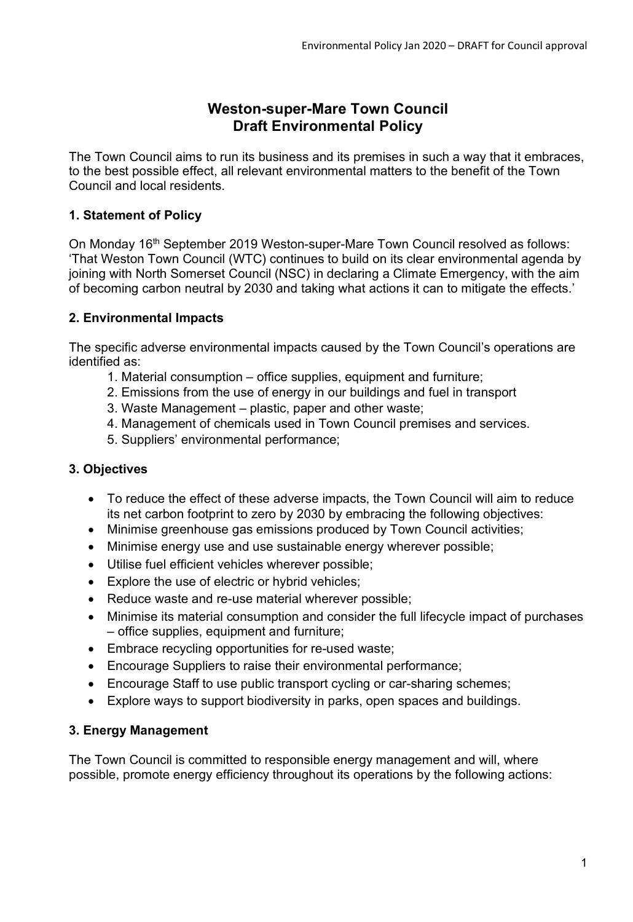# **Weston-super-Mare Town Council Draft Environmental Policy**

The Town Council aims to run its business and its premises in such a way that it embraces, to the best possible effect, all relevant environmental matters to the benefit of the Town Council and local residents.

# **1. Statement of Policy**

On Monday 16<sup>th</sup> September 2019 Weston-super-Mare Town Council resolved as follows: 'That Weston Town Council (WTC) continues to build on its clear environmental agenda by joining with North Somerset Council (NSC) in declaring a Climate Emergency, with the aim of becoming carbon neutral by 2030 and taking what actions it can to mitigate the effects.'

# **2. Environmental Impacts**

The specific adverse environmental impacts caused by the Town Council's operations are identified as:

- 1. Material consumption office supplies, equipment and furniture;
- 2. Emissions from the use of energy in our buildings and fuel in transport
- 3. Waste Management plastic, paper and other waste;
- 4. Management of chemicals used in Town Council premises and services.
- 5. Suppliers' environmental performance;

# **3. Objectives**

- To reduce the effect of these adverse impacts, the Town Council will aim to reduce its net carbon footprint to zero by 2030 by embracing the following objectives:
- Minimise greenhouse gas emissions produced by Town Council activities;
- Minimise energy use and use sustainable energy wherever possible;
- Utilise fuel efficient vehicles wherever possible;
- Explore the use of electric or hybrid vehicles;
- Reduce waste and re-use material wherever possible;
- Minimise its material consumption and consider the full lifecycle impact of purchases – office supplies, equipment and furniture;
- Embrace recycling opportunities for re-used waste;
- Encourage Suppliers to raise their environmental performance;
- Encourage Staff to use public transport cycling or car-sharing schemes;
- Explore ways to support biodiversity in parks, open spaces and buildings.

# **3. Energy Management**

The Town Council is committed to responsible energy management and will, where possible, promote energy efficiency throughout its operations by the following actions: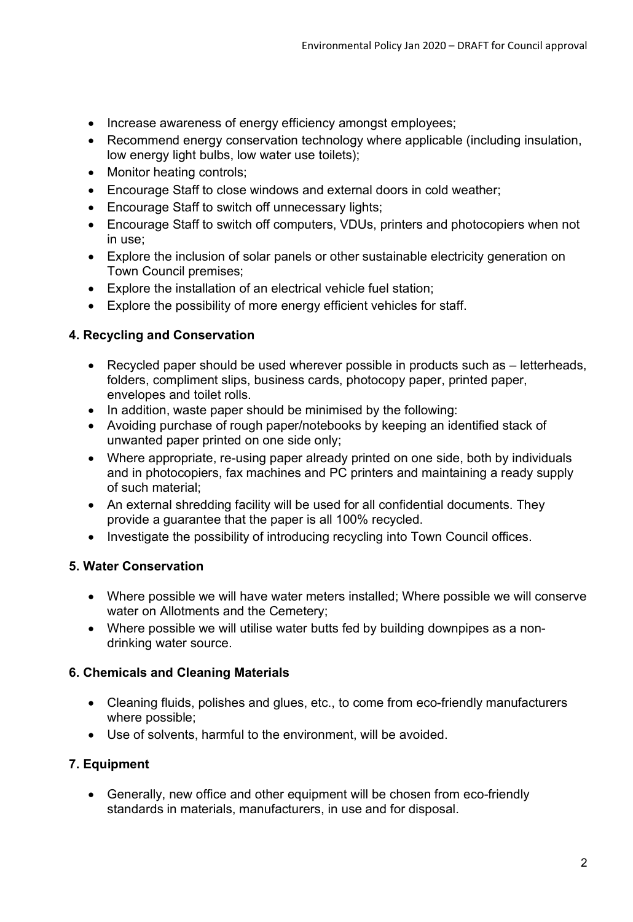- Increase awareness of energy efficiency amongst employees;
- Recommend energy conservation technology where applicable (including insulation, low energy light bulbs, low water use toilets);
- Monitor heating controls;
- Encourage Staff to close windows and external doors in cold weather;
- Encourage Staff to switch off unnecessary lights;
- Encourage Staff to switch off computers, VDUs, printers and photocopiers when not in use;
- Explore the inclusion of solar panels or other sustainable electricity generation on Town Council premises;
- Explore the installation of an electrical vehicle fuel station;
- Explore the possibility of more energy efficient vehicles for staff.

# **4. Recycling and Conservation**

- Recycled paper should be used wherever possible in products such as letterheads, folders, compliment slips, business cards, photocopy paper, printed paper, envelopes and toilet rolls.
- In addition, waste paper should be minimised by the following:
- Avoiding purchase of rough paper/notebooks by keeping an identified stack of unwanted paper printed on one side only;
- Where appropriate, re-using paper already printed on one side, both by individuals and in photocopiers, fax machines and PC printers and maintaining a ready supply of such material;
- An external shredding facility will be used for all confidential documents. They provide a guarantee that the paper is all 100% recycled.
- Investigate the possibility of introducing recycling into Town Council offices.

# **5. Water Conservation**

- Where possible we will have water meters installed; Where possible we will conserve water on Allotments and the Cemetery;
- Where possible we will utilise water butts fed by building downpipes as a nondrinking water source.

#### **6. Chemicals and Cleaning Materials**

- Cleaning fluids, polishes and glues, etc., to come from eco-friendly manufacturers where possible;
- Use of solvents, harmful to the environment, will be avoided.

# **7. Equipment**

• Generally, new office and other equipment will be chosen from eco-friendly standards in materials, manufacturers, in use and for disposal.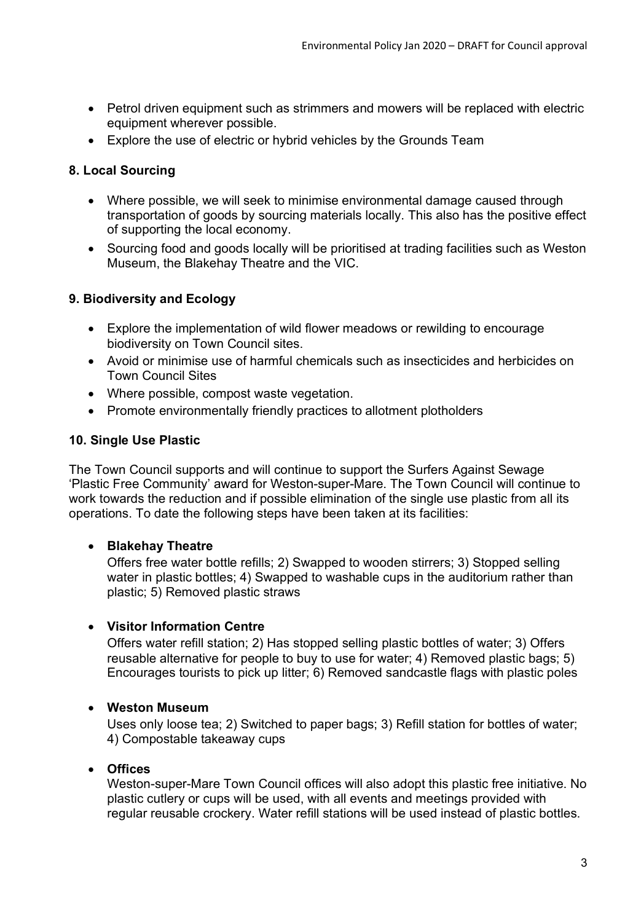- Petrol driven equipment such as strimmers and mowers will be replaced with electric equipment wherever possible.
- Explore the use of electric or hybrid vehicles by the Grounds Team

# **8. Local Sourcing**

- Where possible, we will seek to minimise environmental damage caused through transportation of goods by sourcing materials locally. This also has the positive effect of supporting the local economy.
- Sourcing food and goods locally will be prioritised at trading facilities such as Weston Museum, the Blakehay Theatre and the VIC.

# **9. Biodiversity and Ecology**

- Explore the implementation of wild flower meadows or rewilding to encourage biodiversity on Town Council sites.
- Avoid or minimise use of harmful chemicals such as insecticides and herbicides on Town Council Sites
- Where possible, compost waste vegetation.
- Promote environmentally friendly practices to allotment plotholders

# **10. Single Use Plastic**

The Town Council supports and will continue to support the Surfers Against Sewage 'Plastic Free Community' award for Weston-super-Mare. The Town Council will continue to work towards the reduction and if possible elimination of the single use plastic from all its operations. To date the following steps have been taken at its facilities:

# • **Blakehay Theatre**

Offers free water bottle refills; 2) Swapped to wooden stirrers; 3) Stopped selling water in plastic bottles; 4) Swapped to washable cups in the auditorium rather than plastic; 5) Removed plastic straws

# • **Visitor Information Centre**

Offers water refill station; 2) Has stopped selling plastic bottles of water; 3) Offers reusable alternative for people to buy to use for water; 4) Removed plastic bags; 5) Encourages tourists to pick up litter; 6) Removed sandcastle flags with plastic poles

# • **Weston Museum**

Uses only loose tea; 2) Switched to paper bags; 3) Refill station for bottles of water; 4) Compostable takeaway cups

# • **Offices**

Weston-super-Mare Town Council offices will also adopt this plastic free initiative. No plastic cutlery or cups will be used, with all events and meetings provided with regular reusable crockery. Water refill stations will be used instead of plastic bottles.